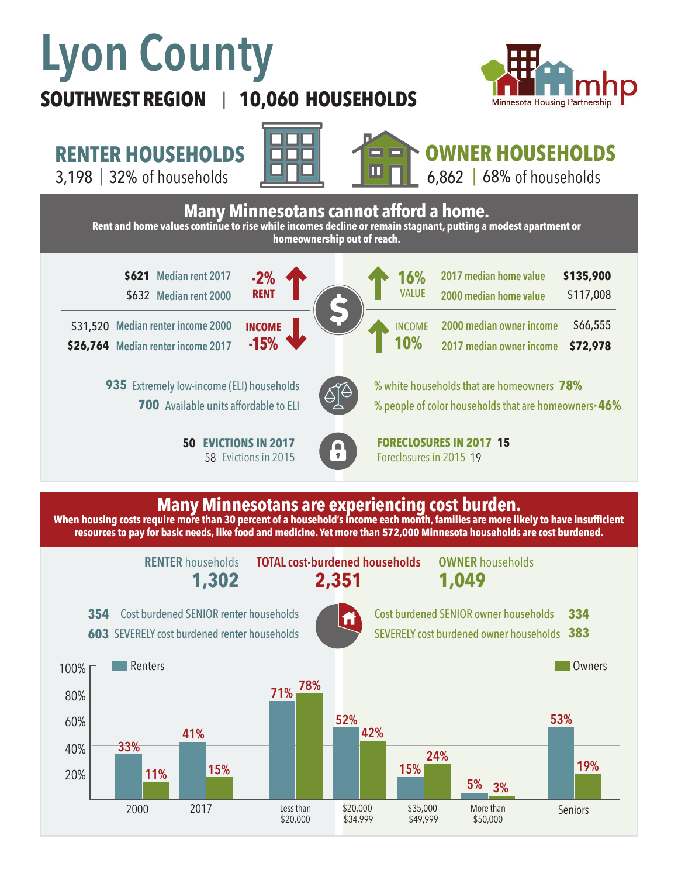# **Lyon County**

# **SOUTHWEST REGION 10,060 HOUSEHOLDS**  |



**RENTER HOUSEHOLDS**

3,198 | 32% of households  $\begin{array}{|c|c|c|c|c|}\hline \textbf{1} & \textbf{1} & \textbf{1} & \textbf{1} & \textbf{1} & \textbf{1} & \textbf{1} & \textbf{1} \ \hline \textbf{2} & \textbf{3} & \textbf{2} & \textbf{1} & \textbf{1} & \textbf{1} & \textbf{1} & \textbf{1} & \textbf{1} \ \hline \textbf{3} & \textbf{4} & \textbf{5} & \textbf{1} & \textbf{1} & \textbf{1} & \textbf{1} & \$ 





**OWNER HOUSEHOLDS**

6,862 | 68% of households



### **Many Minnesotans are experiencing cost burden.**

**When housing costs require more than 30 percent of a household's income each month, families are more likely to have insufficient resources to pay for basic needs, like food and medicine. Yet more than 572,000 Minnesota households are cost burdened.**